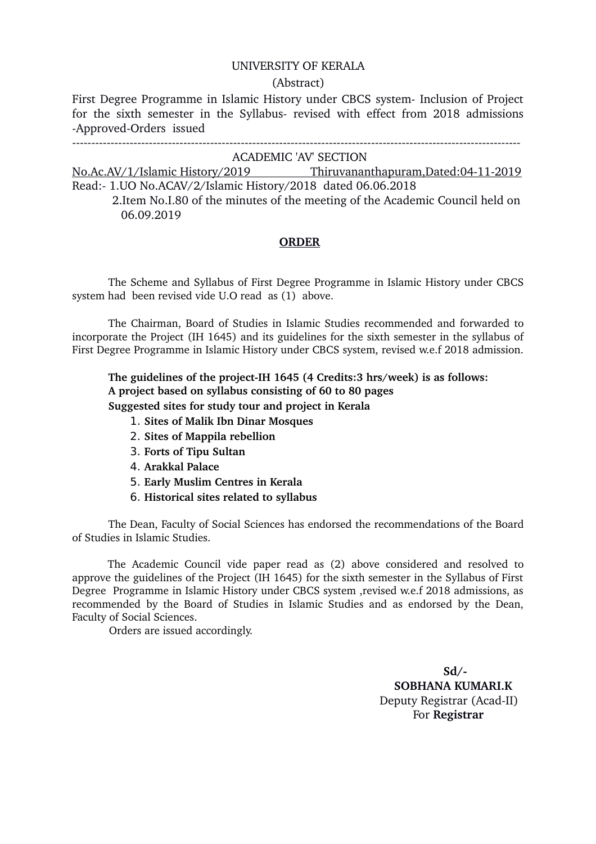## UNIVERSITY OF KERALA

## (Abstract)

First Degree Programme in Islamic History under CBCS system- Inclusion of Project for the sixth semester in the Syllabus- revised with effect from 2018 admissions -Approved-Orders issued

ACADEMIC 'AV' SECTION

No.Ac.AV/1/Islamic History/2019 Thiruvananthapuram,Dated:04112019 Read: 1.UO No.ACAV/2/Islamic History/2018 dated 06.06.2018

 2.Item No.I.80 of the minutes of the meeting of the Academic Council held on 06.09.2019

## **ORDER**

The Scheme and Syllabus of First Degree Programme in Islamic History under CBCS system had been revised vide U.O read as (1) above.

The Chairman, Board of Studies in Islamic Studies recommended and forwarded to incorporate the Project (IH 1645) and its guidelines for the sixth semester in the syllabus of First Degree Programme in Islamic History under CBCS system, revised w.e.f 2018 admission.

The guidelines of the project-IH 1645 (4 Credits:3 hrs/week) is as follows: **A project based on syllabus consisting of 60 to 80 pages Suggested sites for study tour and project in Kerala**

- 1. **Sites of Malik Ibn Dinar Mosques**
- 2. **Sites of Mappila rebellion**
- 3. **Forts of Tipu Sultan**
- 4. **Arakkal Palace**
- 5. **Early Muslim Centres in Kerala**
- 6. **Historical sites related to syllabus**

The Dean, Faculty of Social Sciences has endorsed the recommendations of the Board of Studies in Islamic Studies.

The Academic Council vide paper read as (2) above considered and resolved to approve the guidelines of the Project (IH 1645) for the sixth semester in the Syllabus of First Degree Programme in Islamic History under CBCS system ,revised w.e.f 2018 admissions, as recommended by the Board of Studies in Islamic Studies and as endorsed by the Dean, Faculty of Social Sciences.

Orders are issued accordingly.

 $Sd/$  **SOBHANA KUMARI.K** Deputy Registrar (Acad-II) For **Registrar**